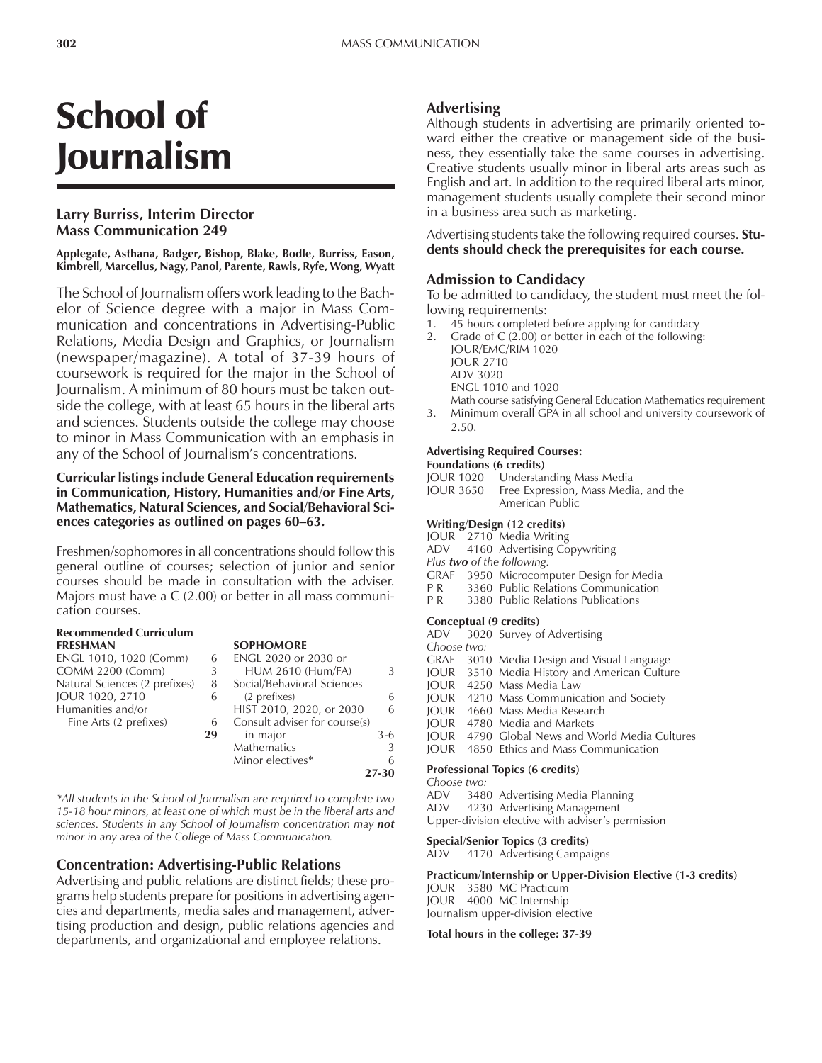# School of Journalism

### **Larry Burriss, Interim Director Mass Communication 249**

**Applegate, Asthana, Badger, Bishop, Blake, Bodle, Burriss, Eason, Kimbrell, Marcellus, Nagy, Panol, Parente, Rawls, Ryfe, Wong, Wyatt**

The School of Journalism offers work leading to the Bachelor of Science degree with a major in Mass Communication and concentrations in Advertising-Public Relations, Media Design and Graphics, or Journalism (newspaper/magazine). A total of 37-39 hours of coursework is required for the major in the School of Journalism. A minimum of 80 hours must be taken outside the college, with at least 65 hours in the liberal arts and sciences. Students outside the college may choose to minor in Mass Communication with an emphasis in any of the School of Journalism's concentrations.

#### **Curricular listings include General Education requirements in Communication, History, Humanities and/or Fine Arts, Mathematics, Natural Sciences, and Social/Behavioral Sci**ences categories as outlined on pages 60–63.

Freshmen/sophomores in all concentrations should follow this general outline of courses; selection of junior and senior courses should be made in consultation with the adviser. Majors must have a C (2.00) or better in all mass communication courses.

#### **Recommended Curriculum FRESHMAN SOPHOMORE**

| ENGL 1010, 1020 (Comm)        |
|-------------------------------|
| <b>COMM 2200 (Comm)</b>       |
| Natural Sciences (2 prefixes) |
| JOUR 1020, 2710               |
| Humanities and/or             |
| Fine Arts (2 prefixes)        |
|                               |

#### 6 ENGL 2020 or 2030 or<br>3 HUM 2610 (Hum/FA  $HUM 2610 (Hum/FA)$  3 8 Social/Behavioral Sciences

| $\mu$ and $\mu$ belonges (2) promotely $\sigma$ by social point violar selences |    |                               |       |
|---------------------------------------------------------------------------------|----|-------------------------------|-------|
| JOUR 1020, 2710                                                                 |    | (2 prefixes)                  | 6     |
| Humanities and/or                                                               |    | HIST 2010, 2020, or 2030      | 6     |
| Fine Arts (2 prefixes)                                                          | 6  | Consult adviser for course(s) |       |
|                                                                                 | 29 | in major                      | $3-6$ |
|                                                                                 |    | <b>Mathematics</b>            | 3     |
|                                                                                 |    | Minor electives*              | 6     |
|                                                                                 |    |                               | 27-30 |

*\*All students in the School of Journalism are required to complete two 15-18 hour minors, at least one of which must be in the liberal arts and sciences. Students in any School of Journalism concentration may not minor in any area of the College of Mass Communication.*

### **Concentration: Advertising-Public Relations**

Advertising and public relations are distinct fields; these programs help students prepare for positions in advertising agencies and departments, media sales and management, advertising production and design, public relations agencies and departments, and organizational and employee relations.

#### **Advertising**

Although students in advertising are primarily oriented toward either the creative or management side of the business, they essentially take the same courses in advertising. Creative students usually minor in liberal arts areas such as English and art. In addition to the required liberal arts minor, management students usually complete their second minor in a business area such as marketing.

Advertising students take the following required courses. **Students should check the prerequisites for each course.**

#### **Admission to Candidacy**

To be admitted to candidacy, the student must meet the following requirements:

- 45 hours completed before applying for candidacy
- Grade of  $C(2.00)$  or better in each of the following: JOUR/EMC/RIM 1020 JOUR 2710
	- ADV 3020

ENGL 1010 and 1020

Math course satisfying General Education Mathematics requirement 3. Minimum overall GPA in all school and university coursework of 2.50.

### **Advertising Required Courses:**

### **Foundations (6 credits)**

- Understanding Mass Media
- JOUR 3650 Free Expression, Mass Media, and the American Public

#### **Writing/Design (12 credits)**

- JOUR 2710 Media Writing
- ADV 4160 Advertising Copywriting
- *Plus two of the following:*
- GRAF 3950 Microcomputer Design for Media
- P R 3360 Public Relations Communication<br>P R 3380 Public Relations Publications
- 3380 Public Relations Publications

#### **Conceptual (9 credits)**

|                                        |  | ADV 3020 Survey of Advertising                        |  |  |
|----------------------------------------|--|-------------------------------------------------------|--|--|
| Choose two:                            |  |                                                       |  |  |
|                                        |  | GRAF 3010 Media Design and Visual Language            |  |  |
|                                        |  | JOUR 3510 Media History and American Culture          |  |  |
|                                        |  | <b>IOUR</b> 4250 Mass Media Law                       |  |  |
|                                        |  | JOUR 4210 Mass Communication and Society              |  |  |
|                                        |  | JOUR 4660 Mass Media Research                         |  |  |
|                                        |  | JOUR 4780 Media and Markets                           |  |  |
|                                        |  | <b>IOUR</b> 4790 Global News and World Media Cultures |  |  |
| <b>IOUR</b>                            |  | 4850 Ethics and Mass Communication                    |  |  |
| <b>Professional Topics (6 credits)</b> |  |                                                       |  |  |

*Choose two:* 3480 Advertising Media Planning

ADV 4230 Advertising Management

Upper-division elective with adviser's permission

### **Special/Senior Topics (3 credits)**<br>ADV 4170 Advertising Campa

4170 Advertising Campaigns

#### **Practicum/Internship or Upper-Division Elective (1-3 credits)**

JOUR 3580 MC Practicum JOUR 4000 MC Internship Journalism upper-division elective

#### **Total hours in the college: 37-39**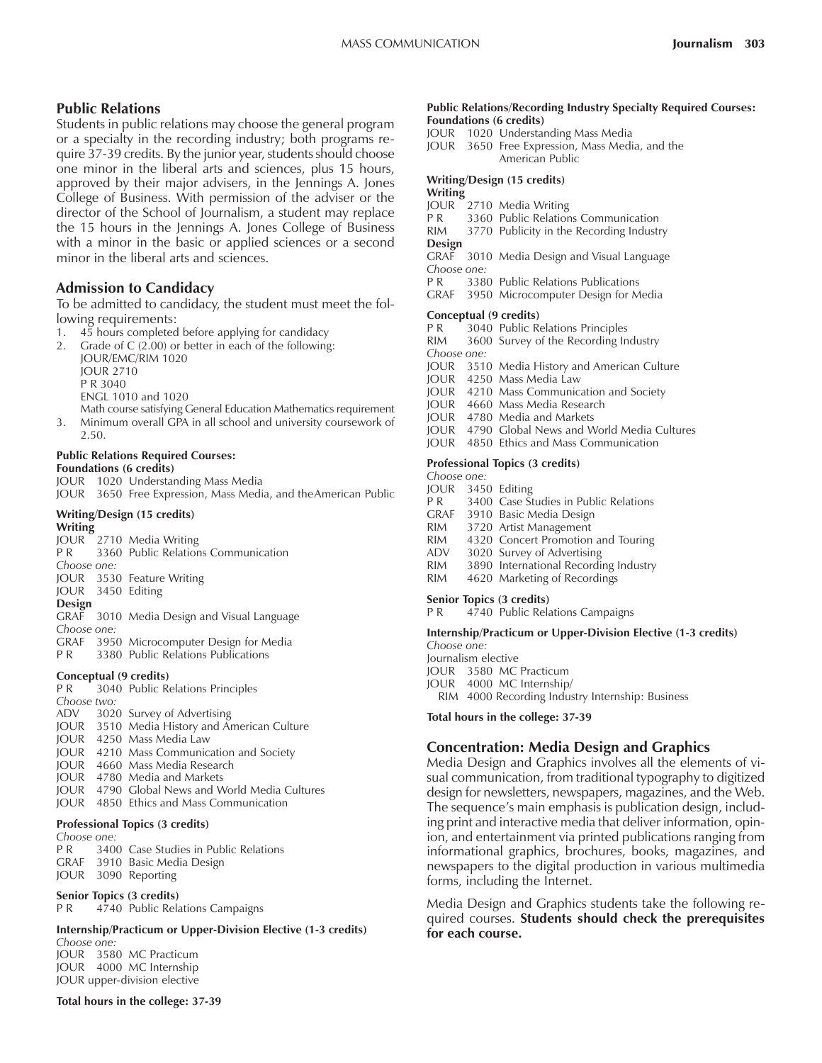#### **Public Relations**

Students in public relations may choose the general program or a specialty in the recording industry; both programs require 37-39 credits. By the junior year, students should choose one minor in the liberal arts and sciences, plus 15 hours, approved by their major advisers, in the Jennings A. Jones College of Business. With permission of the adviser or the director of the School of Journalism, a student may replace the 15 hours in the Jennings A. Jones College of Business with a minor in the basic or applied sciences or a second minor in the liberal arts and sciences.

#### **Admission to Candidacy**

To be admitted to candidacy, the student must meet the following requirements:

- 1. 45 hours completed before applying for candidacy
- 2. Grade of C (2.00) or better in each of the following: JOUR/EMC/RIM 1020 JOUR 2710

P R 3040

ENGL 1010 and 1020

Math course satisfying General Education Mathematics requirement

3. Minimum overall GPA in all school and university coursework of 2.50.

#### **Public Relations Required Courses: Foundations (6 credits)**

JOUR 1020 Understanding Mass Media

JOUR 3650 Free Expression, Mass Media, and theAmerican Public

#### **Writing/Design (15 credits)**

**Writing**

JOUR 2710 Media Writing

P R 3360 Public Relations Communication

- *Choose one:* JOUR 3530 Feature Writing
- JOUR 3450 Editing
- **Design**
- GRAF 3010 Media Design and Visual Language
- *Choose one:*
- GRAF 3950 Microcomputer Design for Media<br>PR 3380 Public Relations Publications
- 3380 Public Relations Publications

#### **Conceptual (9 credits)**

P R 3040 Public Relations Principles *Choose two:* ADV 3020 Survey of Advertising JOUR 3510 Media History and American Culture JOUR 4250 Mass Media Law JOUR 4210 Mass Communication and Society JOUR 4660 Mass Media Research JOUR 4780 Media and Markets JOUR 4790 Global News and World Media Cultures JOUR 4850 Ethics and Mass Communication

#### **Professional Topics (3 credits)**

| CHOUSE UITE. |                                                  |
|--------------|--------------------------------------------------|
|              | <b>P R</b> 3400 Case Studies in Public Relations |
|              | GRAF 3910 Basic Media Design                     |
|              | JOUR 3090 Reporting                              |

#### **Senior Topics (3 credits)**

P R 4740 Public Relations Campaigns

#### **Internship/Practicum or Upper-Division Elective (1-3 credits)** *Choose one:*

JOUR 3580 MC Practicum JOUR 4000 MC Internship JOUR upper-division elective

#### **Total hours in the college: 37-39**

#### **Public Relations/Recording Industry Specialty Required Courses: Foundations (6 credits)**

- JOUR 1020 Understanding Mass Media
- JOUR 3650 Free Expression, Mass Media, and the American Public

#### **Writing/Design (15 credits)**

## **Writing**

- JOUR 2710 Media Writing<br>P R 3360 Public Relation
- 3360 Public Relations Communication
- RIM 3770 Publicity in the Recording Industry
- **Design**<br>GRAF 3010 Media Design and Visual Language
- *Choose one:* P R 3380 Public Relations Publications
- GRAF 3950 Microcomputer Design for Media

#### **Conceptual (9 credits)**

- 
- P R 3040 Public Relations Principles<br>RIM 3600 Survey of the Recording In 3600 Survey of the Recording Industry
- *Choose one:*
- JOUR 3510 Media History and American Culture
- JOUR 4250 Mass Media Law
- JOUR 4210 Mass Communication and Society
- JOUR 4660 Mass Media Research
- JOUR 4780 Media and Markets
- JOUR 4790 Global News and World Media Cultures
- JOUR 4850 Ethics and Mass Communication

#### **Professional Topics (3 credits)**

- *Choose one:*
- JOUR 3450 Editing
- P R 3400 Case Studies in Public Relations
- GRAF 3910 Basic Media Design
- RIM 3720 Artist Management<br>RIM 4320 Concert Promotion
- 4320 Concert Promotion and Touring
- ADV 3020 Survey of Advertising
- RIM 3890 International Recording Industry<br>RIM 4620 Marketing of Recordings
- 4620 Marketing of Recordings

#### **Senior Topics (3 credits)**

P R 4740 Public Relations Campaigns

**Internship/Practicum or Upper-Division Elective (1-3 credits)** *Choose one:*

- Journalism elective
- JOUR 3580 MC Practicum
- JOUR 4000 MC Internship/
	- RIM 4000 Recording Industry Internship: Business

**Total hours in the college: 37-39**

#### **Concentration: Media Design and Graphics**

Media Design and Graphics involves all the elements of visual communication, from traditional typography to digitized design for newsletters, newspapers, magazines, and the Web. The sequence's main emphasis is publication design, including print and interactive media that deliver information, opinion, and entertainment via printed publications ranging from informational graphics, brochures, books, magazines, and newspapers to the digital production in various multimedia forms, including the Internet.

Media Design and Graphics students take the following required courses. **Students should check the prerequisites for each course.**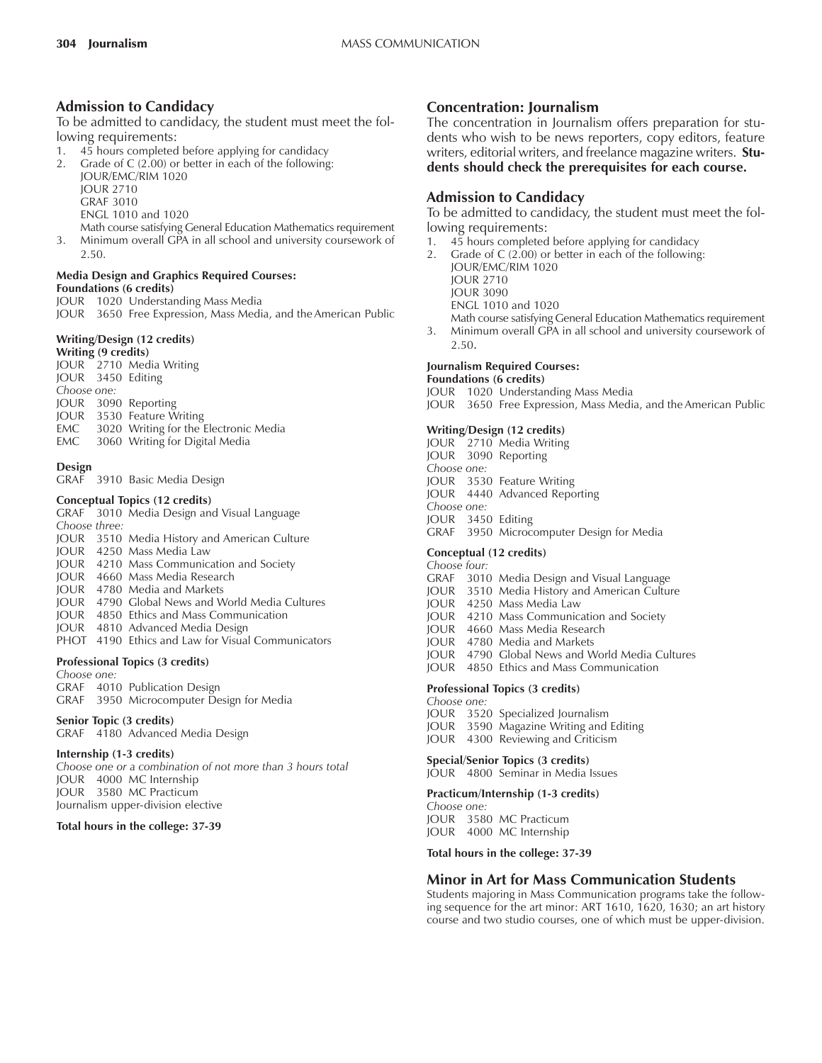### **Admission to Candidacy**

To be admitted to candidacy, the student must meet the following requirements:

- 1. 45 hours completed before applying for candidacy<br>2. Grade of C (2.00) or better in each of the following
- Grade of  $C$  (2.00) or better in each of the following: JOUR/EMC/RIM 1020

JOUR 2710

GRAF 3010

ENGL 1010 and 1020

Math course satisfying General Education Mathematics requirement 3. Minimum overall GPA in all school and university coursework of 2.50.

#### **Media Design and Graphics Required Courses: Foundations (6 credits)**

JOUR 1020 Understanding Mass Media

JOUR 3650 Free Expression, Mass Media, and the American Public

#### **Writing/Design (12 credits)**

**Writing (9 credits)** JOUR 2710 Media Writing JOUR 3450 Editing *Choose one:* JOUR 3090 Reporting JOUR 3530 Feature Writing EMC 3020 Writing for the Electronic Media<br>EMC 3060 Writing for Digital Media 3060 Writing for Digital Media

#### **Design**

GRAF 3910 Basic Media Design

#### **Conceptual Topics (12 credits)**

GRAF 3010 Media Design and Visual Language *Choose three:* JOUR 3510 Media History and American Culture JOUR 4250 Mass Media Law JOUR 4210 Mass Communication and Society JOUR 4660 Mass Media Research JOUR 4780 Media and Markets JOUR 4790 Global News and World Media Cultures JOUR 4850 Ethics and Mass Communication JOUR 4810 Advanced Media Design PHOT 4190 Ethics and Law for Visual Communicators

**Professional Topics (3 credits)**

#### *Choose one:*

GRAF 4010 Publication Design GRAF 3950 Microcomputer Design for Media

#### **Senior Topic (3 credits)**

GRAF 4180 Advanced Media Design

#### **Internship (1-3 credits)**

*Choose one or a combination of not more than 3 hours total* JOUR 4000 MC Internship JOUR 3580 MC Practicum Journalism upper-division elective

#### **Total hours in the college: 37-39**

### **Concentration: Journalism**

The concentration in Journalism offers preparation for students who wish to be news reporters, copy editors, feature writers, editorial writers, and freelance magazine writers. **Students should check the prerequisites for each course.**

#### **Admission to Candidacy**

To be admitted to candidacy, the student must meet the following requirements:

- 1. 45 hours completed before applying for candidacy
- 2. Grade of C (2.00) or better in each of the following:
	- JOUR/EMC/RIM 1020 JOUR 2710
	- JOUR 3090
	- ENGL 1010 and 1020
	-

Math course satisfying General Education Mathematics requirement 3. Minimum overall GPA in all school and university coursework of 2.50.

#### **Journalism Required Courses: Foundations (6 credits)**

JOUR 1020 Understanding Mass Media

JOUR 3650 Free Expression, Mass Media, and the American Public

#### **Writing/Design (12 credits)**

- JOUR 2710 Media Writing
- JOUR 3090 Reporting
- *Choose one:*
- JOUR 3530 Feature Writing
- JOUR 4440 Advanced Reporting *Choose one:*
- JOUR 3450 Editing
- GRAF 3950 Microcomputer Design for Media

#### **Conceptual (12 credits)**

- *Choose four:*
- GRAF 3010 Media Design and Visual Language
- JOUR 3510 Media History and American Culture
- JOUR 4250 Mass Media Law
- JOUR 4210 Mass Communication and Society
- JOUR 4660 Mass Media Research
- JOUR 4780 Media and Markets
- JOUR 4790 Global News and World Media Cultures
- JOUR 4850 Ethics and Mass Communication

#### **Professional Topics (3 credits)**

- *Choose one:*
- JOUR 3520 Specialized Journalism
- JOUR 3590 Magazine Writing and Editing
- JOUR 4300 Reviewing and Criticism

#### **Special/Senior Topics (3 credits)**

JOUR 4800 Seminar in Media Issues

#### **Practicum/Internship (1-3 credits)** *Choose one:*

JOUR 3580 MC Practicum JOUR 4000 MC Internship

**Total hours in the college: 37-39**

#### **Minor in Art for Mass Communication Students**

Students majoring in Mass Communication programs take the following sequence for the art minor: ART 1610, 1620, 1630; an art history course and two studio courses, one of which must be upper-division.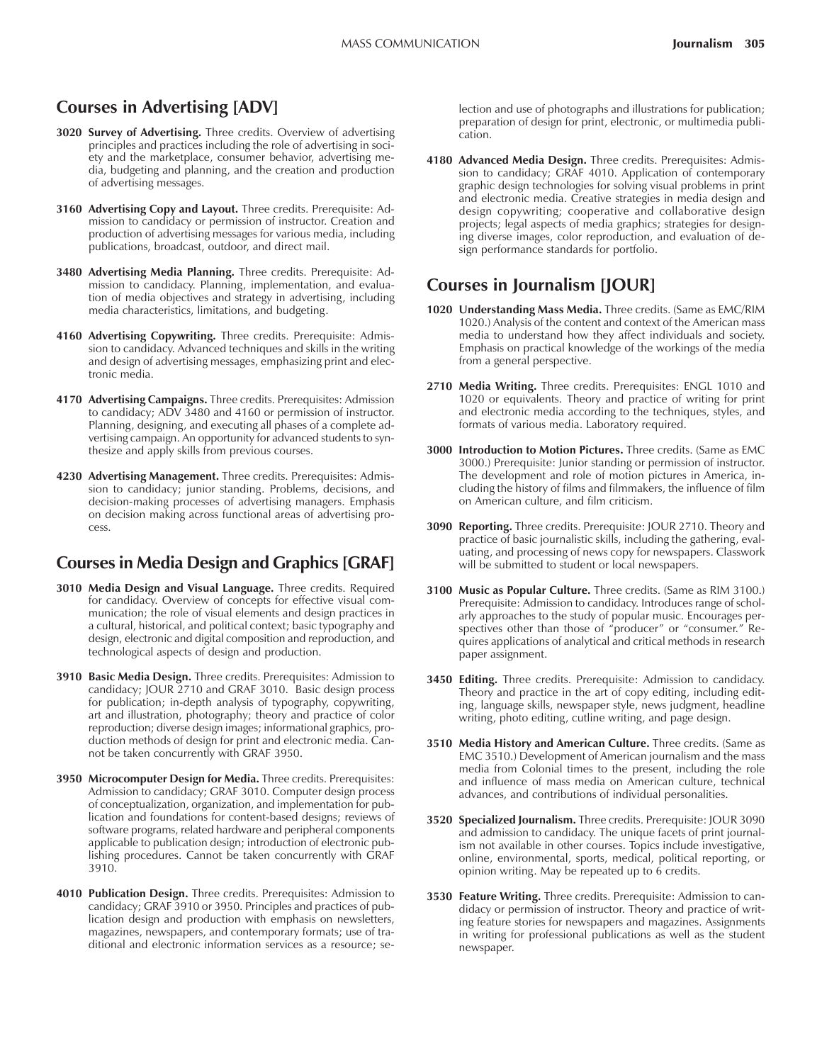### **Courses in Advertising [ADV]**

- **3020 Survey of Advertising.** Three credits. Overview of advertising principles and practices including the role of advertising in society and the marketplace, consumer behavior, advertising media, budgeting and planning, and the creation and production of advertising messages.
- **3160 Advertising Copy and Layout.** Three credits. Prerequisite: Admission to candidacy or permission of instructor. Creation and production of advertising messages for various media, including publications, broadcast, outdoor, and direct mail.
- **3480 Advertising Media Planning.** Three credits. Prerequisite: Admission to candidacy. Planning, implementation, and evaluation of media objectives and strategy in advertising, including media characteristics, limitations, and budgeting.
- **4160 Advertising Copywriting.** Three credits. Prerequisite: Admission to candidacy. Advanced techniques and skills in the writing and design of advertising messages, emphasizing print and electronic media.
- **4170 Advertising Campaigns.** Three credits. Prerequisites: Admission to candidacy; ADV 3480 and 4160 or permission of instructor. Planning, designing, and executing all phases of a complete advertising campaign. An opportunity for advanced students to synthesize and apply skills from previous courses.
- **4230 Advertising Management.** Three credits. Prerequisites: Admission to candidacy; junior standing. Problems, decisions, and decision-making processes of advertising managers. Emphasis on decision making across functional areas of advertising process.

### **Courses in Media Design and Graphics [GRAF]**

- **3010 Media Design and Visual Language.** Three credits. Required for candidacy. Overview of concepts for effective visual communication; the role of visual elements and design practices in a cultural, historical, and political context; basic typography and design, electronic and digital composition and reproduction, and technological aspects of design and production.
- **3910 Basic Media Design.** Three credits. Prerequisites: Admission to candidacy; JOUR 2710 and GRAF 3010. Basic design process for publication; in-depth analysis of typography, copywriting, art and illustration, photography; theory and practice of color reproduction; diverse design images; informational graphics, production methods of design for print and electronic media. Cannot be taken concurrently with GRAF 3950.
- **3950 Microcomputer Design for Media.** Three credits. Prerequisites: Admission to candidacy; GRAF 3010. Computer design process of conceptualization, organization, and implementation for publication and foundations for content-based designs; reviews of software programs, related hardware and peripheral components applicable to publication design; introduction of electronic publishing procedures. Cannot be taken concurrently with GRAF 3910.
- **4010 Publication Design.** Three credits. Prerequisites: Admission to candidacy; GRAF 3910 or 3950. Principles and practices of publication design and production with emphasis on newsletters, magazines, newspapers, and contemporary formats; use of traditional and electronic information services as a resource; se-

lection and use of photographs and illustrations for publication; preparation of design for print, electronic, or multimedia publication.

**4180 Advanced Media Design.** Three credits. Prerequisites: Admission to candidacy; GRAF 4010. Application of contemporary graphic design technologies for solving visual problems in print and electronic media. Creative strategies in media design and design copywriting; cooperative and collaborative design projects; legal aspects of media graphics; strategies for designing diverse images, color reproduction, and evaluation of design performance standards for portfolio.

### **Courses in Journalism [JOUR]**

- **1020 Understanding Mass Media.** Three credits. (Same as EMC/RIM 1020.) Analysis of the content and context of the American mass media to understand how they affect individuals and society. Emphasis on practical knowledge of the workings of the media from a general perspective.
- **2710 Media Writing.** Three credits. Prerequisites: ENGL 1010 and 1020 or equivalents. Theory and practice of writing for print and electronic media according to the techniques, styles, and formats of various media. Laboratory required.
- **3000 Introduction to Motion Pictures.** Three credits. (Same as EMC 3000.) Prerequisite: Junior standing or permission of instructor. The development and role of motion pictures in America, including the history of films and filmmakers, the influence of film on American culture, and film criticism.
- **3090 Reporting.** Three credits. Prerequisite: JOUR 2710. Theory and practice of basic journalistic skills, including the gathering, evaluating, and processing of news copy for newspapers. Classwork will be submitted to student or local newspapers.
- **3100 Music as Popular Culture.** Three credits. (Same as RIM 3100.) Prerequisite: Admission to candidacy. Introduces range of scholarly approaches to the study of popular music. Encourages perspectives other than those of "producer" or "consumer." Requires applications of analytical and critical methods in research paper assignment.
- **3450 Editing.** Three credits. Prerequisite: Admission to candidacy. Theory and practice in the art of copy editing, including editing, language skills, newspaper style, news judgment, headline writing, photo editing, cutline writing, and page design.
- **3510 Media History and American Culture.** Three credits. (Same as EMC 3510.) Development of American journalism and the mass media from Colonial times to the present, including the role and influence of mass media on American culture, technical advances, and contributions of individual personalities.
- **3520 Specialized Journalism.** Three credits. Prerequisite: JOUR 3090 and admission to candidacy. The unique facets of print journalism not available in other courses. Topics include investigative, online, environmental, sports, medical, political reporting, or opinion writing. May be repeated up to 6 credits.
- **3530 Feature Writing.** Three credits. Prerequisite: Admission to candidacy or permission of instructor. Theory and practice of writing feature stories for newspapers and magazines. Assignments in writing for professional publications as well as the student newspaper.